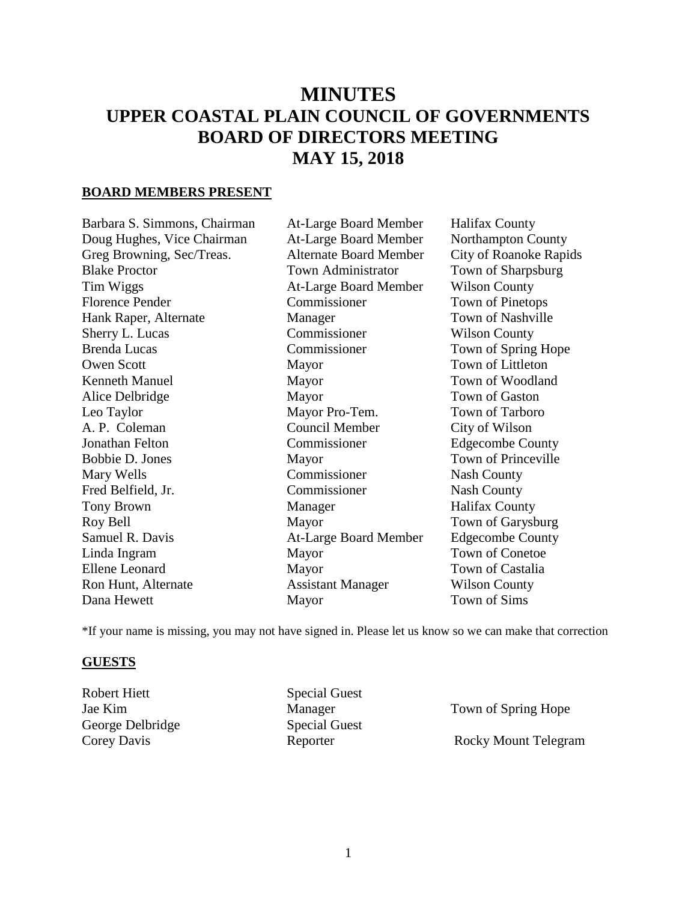# **MINUTES UPPER COASTAL PLAIN COUNCIL OF GOVERNMENTS BOARD OF DIRECTORS MEETING MAY 15, 2018**

#### **BOARD MEMBERS PRESENT**

Barbara S. Simmons, Chairman At-Large Board Member Halifax County Doug Hughes, Vice Chairman At-Large Board Member Northampton County Greg Browning, Sec/Treas. Alternate Board Member City of Roanoke Rapids Blake Proctor Town Administrator Town of Sharpsburg Tim Wiggs At-Large Board Member Wilson County Florence Pender Commissioner Town of Pinetops Hank Raper, Alternate Manager Town of Nashville Sherry L. Lucas Commissioner Wilson County Brenda Lucas Commissioner Town of Spring Hope Owen Scott Mayor Town of Littleton Kenneth Manuel Mayor Town of Woodland Alice Delbridge **Mayor** Mayor Town of Gaston Leo Taylor Mayor Pro-Tem. Town of Tarboro A. P. Coleman Council Member City of Wilson Jonathan Felton Commissioner Edgecombe County Bobbie D. Jones Mayor Mayor Town of Princeville Mary Wells **Commissioner** Nash County Fred Belfield, Jr. Commissioner Nash County Tony Brown Manager Halifax County Roy Bell Mayor Mayor Town of Garysburg Samuel R. Davis **At-Large Board Member** Edgecombe County Linda Ingram Mayor Town of Conetoe Ellene Leonard Mayor Mayor Town of Castalia Ron Hunt, Alternate **Assistant Manager** Wilson County

Dana Hewett Mayor Town of Sims

\*If your name is missing, you may not have signed in. Please let us know so we can make that correction

#### **GUESTS**

Robert Hiett Special Guest George Delbridge Special Guest

Jae Kim Manager Town of Spring Hope Corey Davis Reporter Rocky Mount Telegram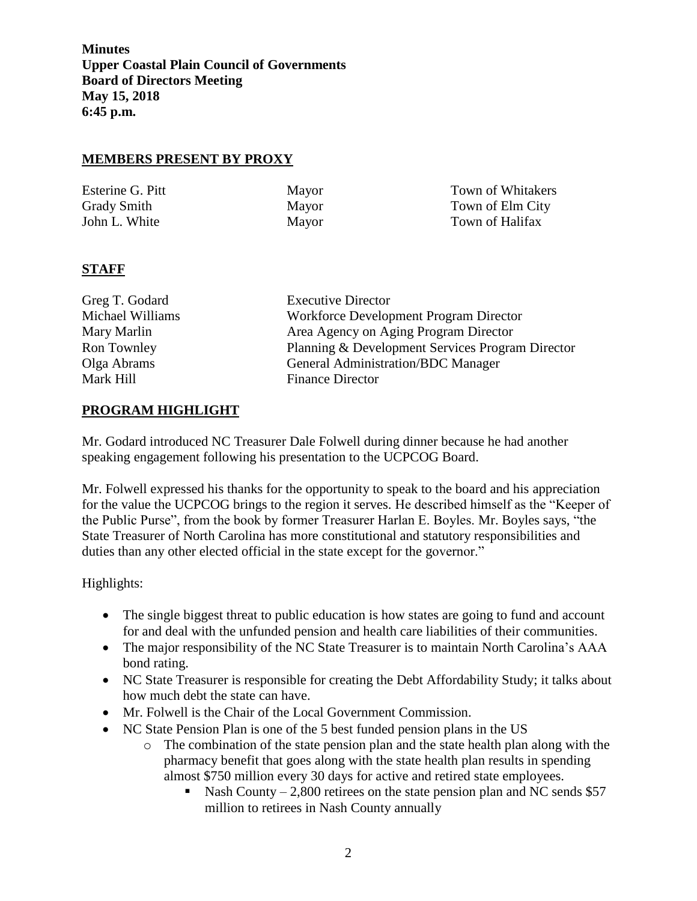#### **MEMBERS PRESENT BY PROXY**

| Esterine G. Pitt   | Mayor | Town of Whitakers |
|--------------------|-------|-------------------|
| <b>Grady Smith</b> | Mayor | Town of Elm City  |
| John L. White      | Mayor | Town of Halifax   |

## **STAFF**

| Greg T. Godard   | <b>Executive Director</b>                        |  |
|------------------|--------------------------------------------------|--|
|                  |                                                  |  |
| Michael Williams | Workforce Development Program Director           |  |
| Mary Marlin      | Area Agency on Aging Program Director            |  |
| Ron Townley      | Planning & Development Services Program Director |  |
| Olga Abrams      | <b>General Administration/BDC Manager</b>        |  |
| Mark Hill        | <b>Finance Director</b>                          |  |
|                  |                                                  |  |

## **PROGRAM HIGHLIGHT**

Mr. Godard introduced NC Treasurer Dale Folwell during dinner because he had another speaking engagement following his presentation to the UCPCOG Board.

Mr. Folwell expressed his thanks for the opportunity to speak to the board and his appreciation for the value the UCPCOG brings to the region it serves. He described himself as the "Keeper of the Public Purse", from the book by former Treasurer Harlan E. Boyles. Mr. Boyles says, "the State Treasurer of North Carolina has more constitutional and statutory responsibilities and duties than any other elected official in the state except for the governor."

- The single biggest threat to public education is how states are going to fund and account for and deal with the unfunded pension and health care liabilities of their communities.
- The major responsibility of the NC State Treasurer is to maintain North Carolina's AAA bond rating.
- NC State Treasurer is responsible for creating the Debt Affordability Study; it talks about how much debt the state can have.
- Mr. Folwell is the Chair of the Local Government Commission.
- NC State Pension Plan is one of the 5 best funded pension plans in the US
	- o The combination of the state pension plan and the state health plan along with the pharmacy benefit that goes along with the state health plan results in spending almost \$750 million every 30 days for active and retired state employees.
		- Nash County 2,800 retirees on the state pension plan and NC sends  $$57$ million to retirees in Nash County annually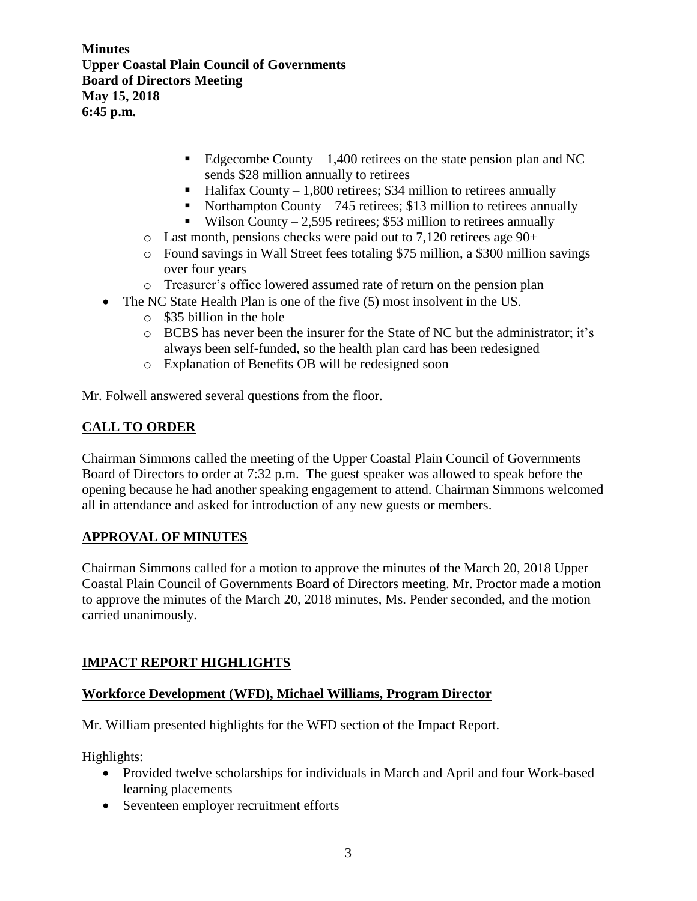- Edgecombe County  $-1,400$  retirees on the state pension plan and NC sends \$28 million annually to retirees
- Halifax County  $-1,800$  retirees; \$34 million to retirees annually
- Northampton County 745 retires; \$13 million to retirees annually
- Wilson County 2,595 retirees; \$53 million to retirees annually
- o Last month, pensions checks were paid out to 7,120 retirees age 90+
- o Found savings in Wall Street fees totaling \$75 million, a \$300 million savings over four years
- o Treasurer's office lowered assumed rate of return on the pension plan
- The NC State Health Plan is one of the five (5) most insolvent in the US.
	- o \$35 billion in the hole
	- o BCBS has never been the insurer for the State of NC but the administrator; it's always been self-funded, so the health plan card has been redesigned
	- o Explanation of Benefits OB will be redesigned soon

Mr. Folwell answered several questions from the floor.

# **CALL TO ORDER**

Chairman Simmons called the meeting of the Upper Coastal Plain Council of Governments Board of Directors to order at 7:32 p.m. The guest speaker was allowed to speak before the opening because he had another speaking engagement to attend. Chairman Simmons welcomed all in attendance and asked for introduction of any new guests or members.

## **APPROVAL OF MINUTES**

Chairman Simmons called for a motion to approve the minutes of the March 20, 2018 Upper Coastal Plain Council of Governments Board of Directors meeting. Mr. Proctor made a motion to approve the minutes of the March 20, 2018 minutes, Ms. Pender seconded, and the motion carried unanimously.

# **IMPACT REPORT HIGHLIGHTS**

## **Workforce Development (WFD), Michael Williams, Program Director**

Mr. William presented highlights for the WFD section of the Impact Report.

- Provided twelve scholarships for individuals in March and April and four Work-based learning placements
- Seventeen employer recruitment efforts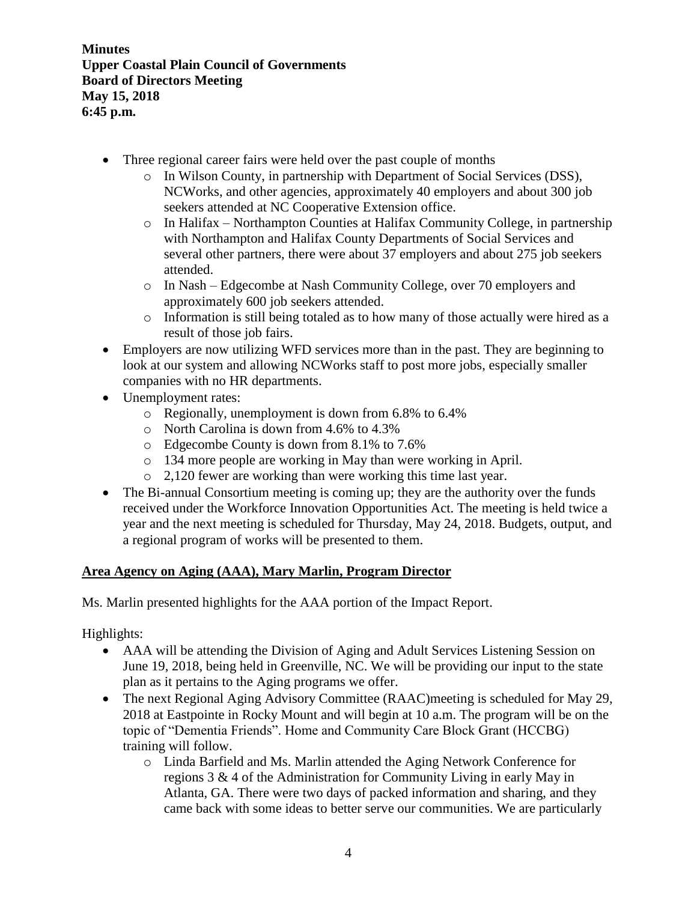- Three regional career fairs were held over the past couple of months
	- o In Wilson County, in partnership with Department of Social Services (DSS), NCWorks, and other agencies, approximately 40 employers and about 300 job seekers attended at NC Cooperative Extension office.
	- o In Halifax Northampton Counties at Halifax Community College, in partnership with Northampton and Halifax County Departments of Social Services and several other partners, there were about 37 employers and about 275 job seekers attended.
	- o In Nash Edgecombe at Nash Community College, over 70 employers and approximately 600 job seekers attended.
	- o Information is still being totaled as to how many of those actually were hired as a result of those job fairs.
- Employers are now utilizing WFD services more than in the past. They are beginning to look at our system and allowing NCWorks staff to post more jobs, especially smaller companies with no HR departments.
- Unemployment rates:
	- o Regionally, unemployment is down from 6.8% to 6.4%
	- o North Carolina is down from 4.6% to 4.3%
	- o Edgecombe County is down from 8.1% to 7.6%
	- o 134 more people are working in May than were working in April.
	- o 2,120 fewer are working than were working this time last year.
- The Bi-annual Consortium meeting is coming up; they are the authority over the funds received under the Workforce Innovation Opportunities Act. The meeting is held twice a year and the next meeting is scheduled for Thursday, May 24, 2018. Budgets, output, and a regional program of works will be presented to them.

## **Area Agency on Aging (AAA), Mary Marlin, Program Director**

Ms. Marlin presented highlights for the AAA portion of the Impact Report.

- AAA will be attending the Division of Aging and Adult Services Listening Session on June 19, 2018, being held in Greenville, NC. We will be providing our input to the state plan as it pertains to the Aging programs we offer.
- The next Regional Aging Advisory Committee (RAAC) meeting is scheduled for May 29, 2018 at Eastpointe in Rocky Mount and will begin at 10 a.m. The program will be on the topic of "Dementia Friends". Home and Community Care Block Grant (HCCBG) training will follow.
	- o Linda Barfield and Ms. Marlin attended the Aging Network Conference for regions 3 & 4 of the Administration for Community Living in early May in Atlanta, GA. There were two days of packed information and sharing, and they came back with some ideas to better serve our communities. We are particularly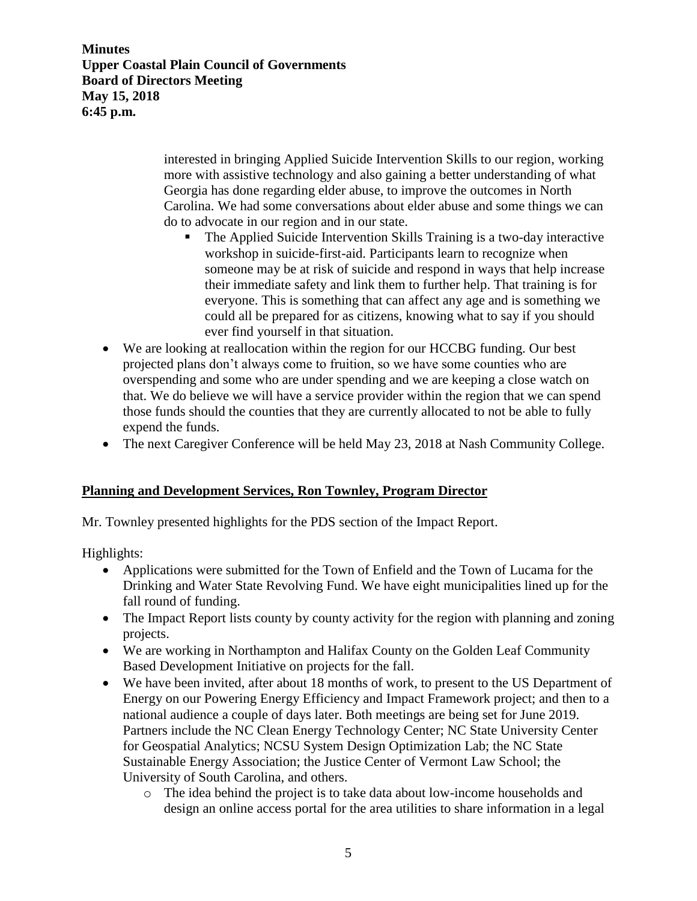> interested in bringing Applied Suicide Intervention Skills to our region, working more with assistive technology and also gaining a better understanding of what Georgia has done regarding elder abuse, to improve the outcomes in North Carolina. We had some conversations about elder abuse and some things we can do to advocate in our region and in our state.

- The Applied Suicide Intervention Skills Training is a two-day interactive workshop in suicide-first-aid. Participants learn to recognize when someone may be at risk of suicide and respond in ways that help increase their immediate safety and link them to further help. That training is for everyone. This is something that can affect any age and is something we could all be prepared for as citizens, knowing what to say if you should ever find yourself in that situation.
- We are looking at reallocation within the region for our HCCBG funding. Our best projected plans don't always come to fruition, so we have some counties who are overspending and some who are under spending and we are keeping a close watch on that. We do believe we will have a service provider within the region that we can spend those funds should the counties that they are currently allocated to not be able to fully expend the funds.
- The next Caregiver Conference will be held May 23, 2018 at Nash Community College.

## **Planning and Development Services, Ron Townley, Program Director**

Mr. Townley presented highlights for the PDS section of the Impact Report.

- Applications were submitted for the Town of Enfield and the Town of Lucama for the Drinking and Water State Revolving Fund. We have eight municipalities lined up for the fall round of funding.
- The Impact Report lists county by county activity for the region with planning and zoning projects.
- We are working in Northampton and Halifax County on the Golden Leaf Community Based Development Initiative on projects for the fall.
- We have been invited, after about 18 months of work, to present to the US Department of Energy on our Powering Energy Efficiency and Impact Framework project; and then to a national audience a couple of days later. Both meetings are being set for June 2019. Partners include the NC Clean Energy Technology Center; NC State University Center for Geospatial Analytics; NCSU System Design Optimization Lab; the NC State Sustainable Energy Association; the Justice Center of Vermont Law School; the University of South Carolina, and others.
	- o The idea behind the project is to take data about low-income households and design an online access portal for the area utilities to share information in a legal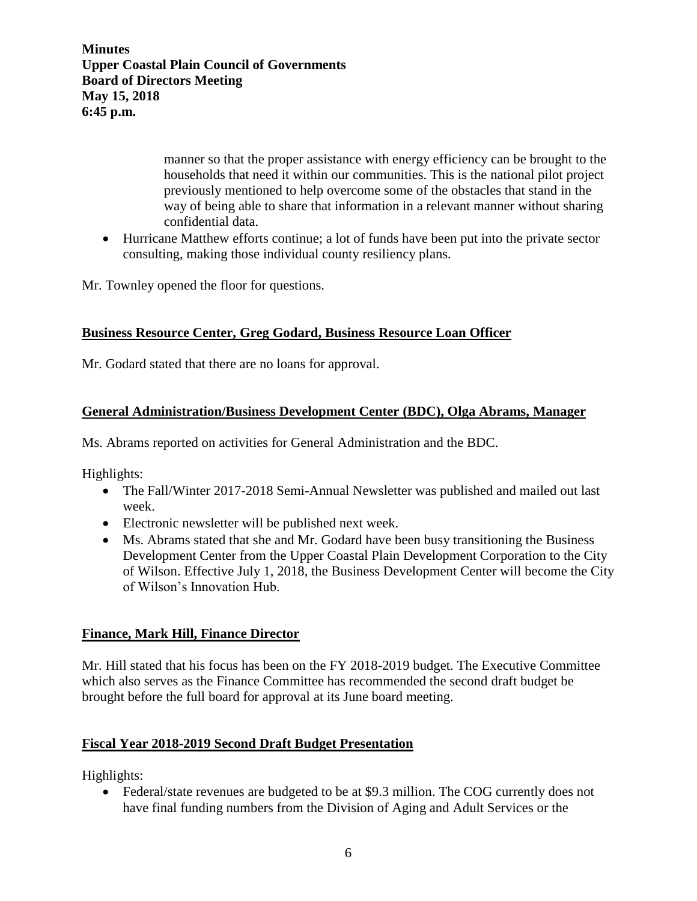> manner so that the proper assistance with energy efficiency can be brought to the households that need it within our communities. This is the national pilot project previously mentioned to help overcome some of the obstacles that stand in the way of being able to share that information in a relevant manner without sharing confidential data.

• Hurricane Matthew efforts continue; a lot of funds have been put into the private sector consulting, making those individual county resiliency plans.

Mr. Townley opened the floor for questions.

## **Business Resource Center, Greg Godard, Business Resource Loan Officer**

Mr. Godard stated that there are no loans for approval.

#### **General Administration/Business Development Center (BDC), Olga Abrams, Manager**

Ms. Abrams reported on activities for General Administration and the BDC.

Highlights:

- The Fall/Winter 2017-2018 Semi-Annual Newsletter was published and mailed out last week.
- Electronic newsletter will be published next week.
- Ms. Abrams stated that she and Mr. Godard have been busy transitioning the Business Development Center from the Upper Coastal Plain Development Corporation to the City of Wilson. Effective July 1, 2018, the Business Development Center will become the City of Wilson's Innovation Hub.

#### **Finance, Mark Hill, Finance Director**

Mr. Hill stated that his focus has been on the FY 2018-2019 budget. The Executive Committee which also serves as the Finance Committee has recommended the second draft budget be brought before the full board for approval at its June board meeting.

#### **Fiscal Year 2018-2019 Second Draft Budget Presentation**

Highlights:

• Federal/state revenues are budgeted to be at \$9.3 million. The COG currently does not have final funding numbers from the Division of Aging and Adult Services or the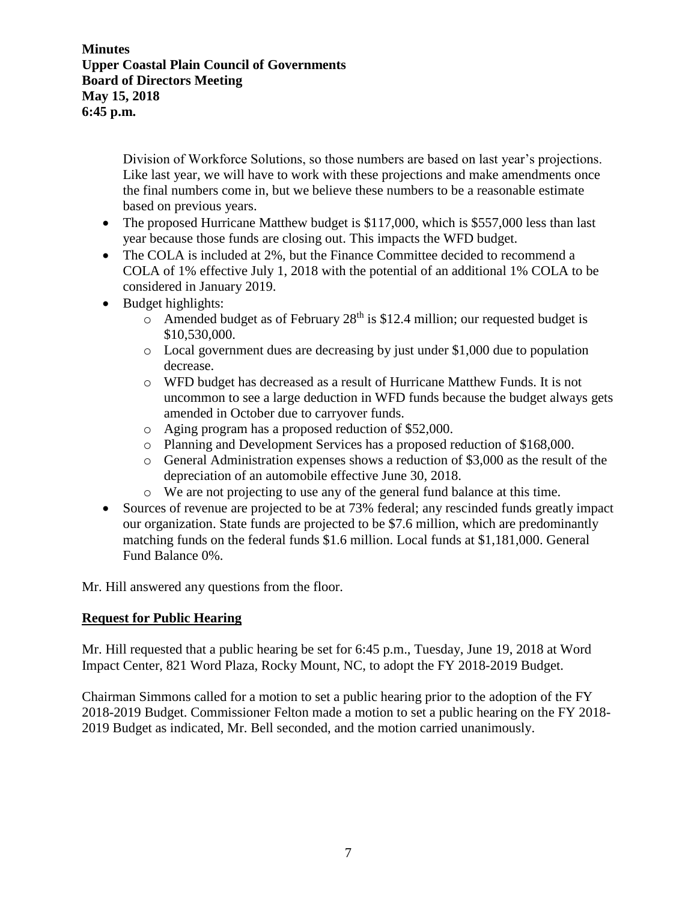> Division of Workforce Solutions, so those numbers are based on last year's projections. Like last year, we will have to work with these projections and make amendments once the final numbers come in, but we believe these numbers to be a reasonable estimate based on previous years.

- The proposed Hurricane Matthew budget is \$117,000, which is \$557,000 less than last year because those funds are closing out. This impacts the WFD budget.
- The COLA is included at 2%, but the Finance Committee decided to recommend a COLA of 1% effective July 1, 2018 with the potential of an additional 1% COLA to be considered in January 2019.
- Budget highlights:
	- $\circ$  Amended budget as of February 28<sup>th</sup> is \$12.4 million; our requested budget is \$10,530,000.
	- o Local government dues are decreasing by just under \$1,000 due to population decrease.
	- o WFD budget has decreased as a result of Hurricane Matthew Funds. It is not uncommon to see a large deduction in WFD funds because the budget always gets amended in October due to carryover funds.
	- o Aging program has a proposed reduction of \$52,000.
	- o Planning and Development Services has a proposed reduction of \$168,000.
	- $\circ$  General Administration expenses shows a reduction of \$3,000 as the result of the depreciation of an automobile effective June 30, 2018.
	- o We are not projecting to use any of the general fund balance at this time.
- Sources of revenue are projected to be at 73% federal; any rescinded funds greatly impact our organization. State funds are projected to be \$7.6 million, which are predominantly matching funds on the federal funds \$1.6 million. Local funds at \$1,181,000. General Fund Balance 0%.

Mr. Hill answered any questions from the floor.

## **Request for Public Hearing**

Mr. Hill requested that a public hearing be set for 6:45 p.m., Tuesday, June 19, 2018 at Word Impact Center, 821 Word Plaza, Rocky Mount, NC, to adopt the FY 2018-2019 Budget.

Chairman Simmons called for a motion to set a public hearing prior to the adoption of the FY 2018-2019 Budget. Commissioner Felton made a motion to set a public hearing on the FY 2018- 2019 Budget as indicated, Mr. Bell seconded, and the motion carried unanimously.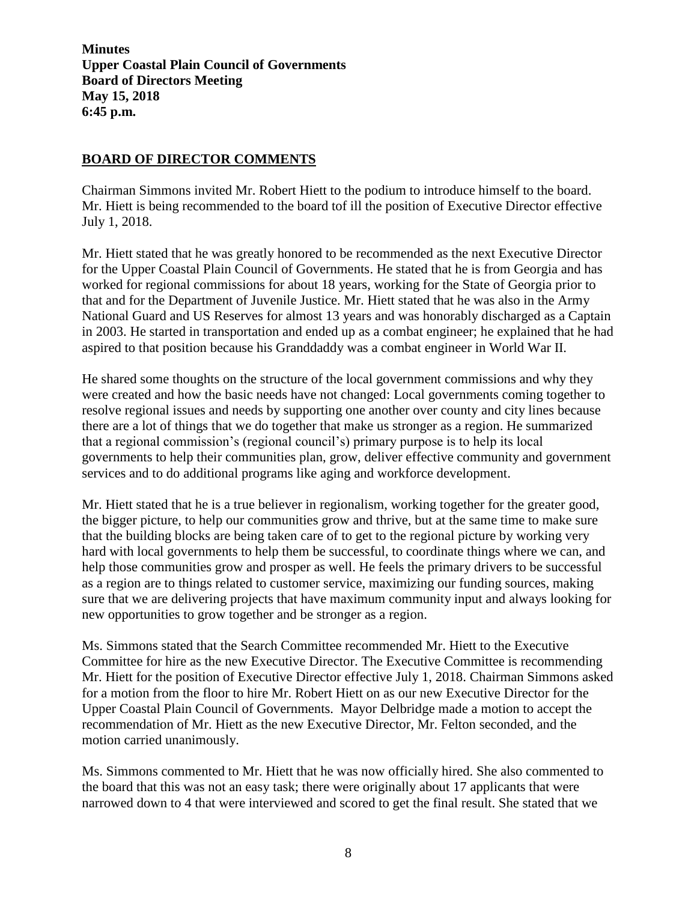# **BOARD OF DIRECTOR COMMENTS**

Chairman Simmons invited Mr. Robert Hiett to the podium to introduce himself to the board. Mr. Hiett is being recommended to the board tof ill the position of Executive Director effective July 1, 2018.

Mr. Hiett stated that he was greatly honored to be recommended as the next Executive Director for the Upper Coastal Plain Council of Governments. He stated that he is from Georgia and has worked for regional commissions for about 18 years, working for the State of Georgia prior to that and for the Department of Juvenile Justice. Mr. Hiett stated that he was also in the Army National Guard and US Reserves for almost 13 years and was honorably discharged as a Captain in 2003. He started in transportation and ended up as a combat engineer; he explained that he had aspired to that position because his Granddaddy was a combat engineer in World War II.

He shared some thoughts on the structure of the local government commissions and why they were created and how the basic needs have not changed: Local governments coming together to resolve regional issues and needs by supporting one another over county and city lines because there are a lot of things that we do together that make us stronger as a region. He summarized that a regional commission's (regional council's) primary purpose is to help its local governments to help their communities plan, grow, deliver effective community and government services and to do additional programs like aging and workforce development.

Mr. Hiett stated that he is a true believer in regionalism, working together for the greater good, the bigger picture, to help our communities grow and thrive, but at the same time to make sure that the building blocks are being taken care of to get to the regional picture by working very hard with local governments to help them be successful, to coordinate things where we can, and help those communities grow and prosper as well. He feels the primary drivers to be successful as a region are to things related to customer service, maximizing our funding sources, making sure that we are delivering projects that have maximum community input and always looking for new opportunities to grow together and be stronger as a region.

Ms. Simmons stated that the Search Committee recommended Mr. Hiett to the Executive Committee for hire as the new Executive Director. The Executive Committee is recommending Mr. Hiett for the position of Executive Director effective July 1, 2018. Chairman Simmons asked for a motion from the floor to hire Mr. Robert Hiett on as our new Executive Director for the Upper Coastal Plain Council of Governments. Mayor Delbridge made a motion to accept the recommendation of Mr. Hiett as the new Executive Director, Mr. Felton seconded, and the motion carried unanimously.

Ms. Simmons commented to Mr. Hiett that he was now officially hired. She also commented to the board that this was not an easy task; there were originally about 17 applicants that were narrowed down to 4 that were interviewed and scored to get the final result. She stated that we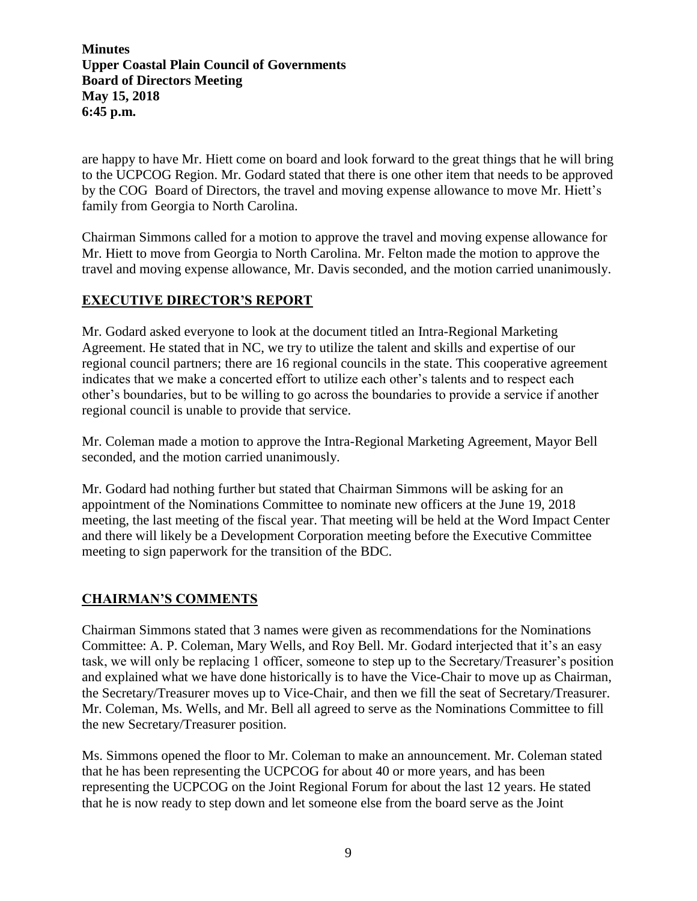are happy to have Mr. Hiett come on board and look forward to the great things that he will bring to the UCPCOG Region. Mr. Godard stated that there is one other item that needs to be approved by the COG Board of Directors, the travel and moving expense allowance to move Mr. Hiett's family from Georgia to North Carolina.

Chairman Simmons called for a motion to approve the travel and moving expense allowance for Mr. Hiett to move from Georgia to North Carolina. Mr. Felton made the motion to approve the travel and moving expense allowance, Mr. Davis seconded, and the motion carried unanimously.

# **EXECUTIVE DIRECTOR'S REPORT**

Mr. Godard asked everyone to look at the document titled an Intra-Regional Marketing Agreement. He stated that in NC, we try to utilize the talent and skills and expertise of our regional council partners; there are 16 regional councils in the state. This cooperative agreement indicates that we make a concerted effort to utilize each other's talents and to respect each other's boundaries, but to be willing to go across the boundaries to provide a service if another regional council is unable to provide that service.

Mr. Coleman made a motion to approve the Intra-Regional Marketing Agreement, Mayor Bell seconded, and the motion carried unanimously.

Mr. Godard had nothing further but stated that Chairman Simmons will be asking for an appointment of the Nominations Committee to nominate new officers at the June 19, 2018 meeting, the last meeting of the fiscal year. That meeting will be held at the Word Impact Center and there will likely be a Development Corporation meeting before the Executive Committee meeting to sign paperwork for the transition of the BDC.

## **CHAIRMAN'S COMMENTS**

Chairman Simmons stated that 3 names were given as recommendations for the Nominations Committee: A. P. Coleman, Mary Wells, and Roy Bell. Mr. Godard interjected that it's an easy task, we will only be replacing 1 officer, someone to step up to the Secretary/Treasurer's position and explained what we have done historically is to have the Vice-Chair to move up as Chairman, the Secretary/Treasurer moves up to Vice-Chair, and then we fill the seat of Secretary/Treasurer. Mr. Coleman, Ms. Wells, and Mr. Bell all agreed to serve as the Nominations Committee to fill the new Secretary/Treasurer position.

Ms. Simmons opened the floor to Mr. Coleman to make an announcement. Mr. Coleman stated that he has been representing the UCPCOG for about 40 or more years, and has been representing the UCPCOG on the Joint Regional Forum for about the last 12 years. He stated that he is now ready to step down and let someone else from the board serve as the Joint